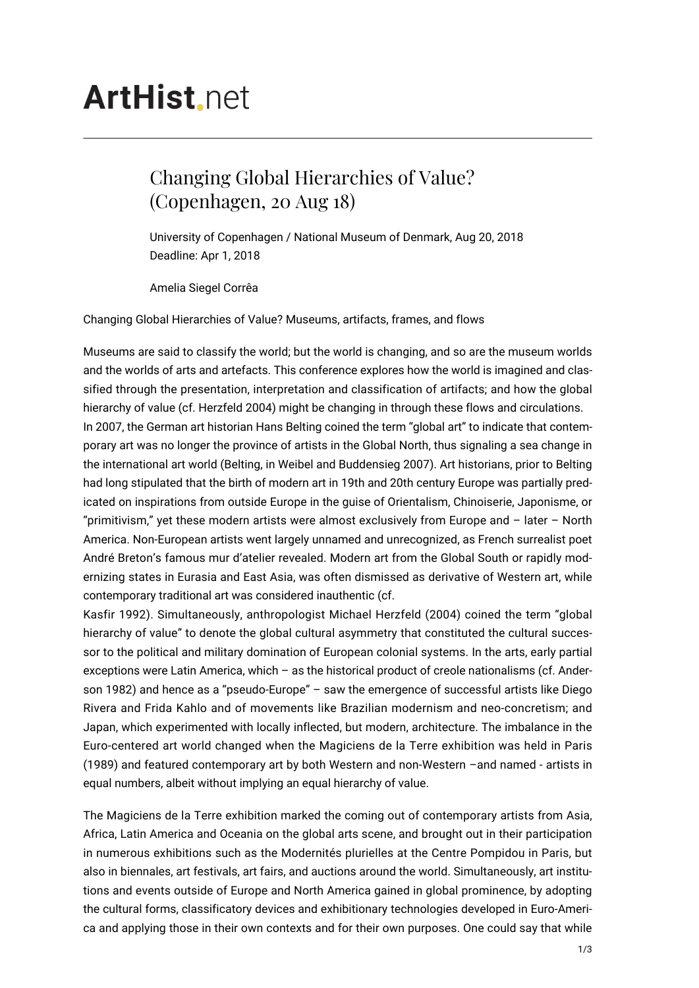## **ArtHist**, net

## Changing Global Hierarchies of Value? (Copenhagen, 20 Aug 18)

University of Copenhagen / National Museum of Denmark, Aug 20, 2018 Deadline: Apr 1, 2018

Amelia Siegel Corrêa

Changing Global Hierarchies of Value? Museums, artifacts, frames, and flows

Museums are said to classify the world; but the world is changing, and so are the museum worlds and the worlds of arts and artefacts. This conference explores how the world is imagined and classified through the presentation, interpretation and classification of artifacts; and how the global hierarchy of value (cf. Herzfeld 2004) might be changing in through these flows and circulations. In 2007, the German art historian Hans Belting coined the term "global art" to indicate that contemporary art was no longer the province of artists in the Global North, thus signaling a sea change in the international art world (Belting, in Weibel and Buddensieg 2007). Art historians, prior to Belting had long stipulated that the birth of modern art in 19th and 20th century Europe was partially predicated on inspirations from outside Europe in the guise of Orientalism, Chinoiserie, Japonisme, or "primitivism," yet these modern artists were almost exclusively from Europe and – later – North America. Non-European artists went largely unnamed and unrecognized, as French surrealist poet André Breton's famous mur d'atelier revealed. Modern art from the Global South or rapidly modernizing states in Eurasia and East Asia, was often dismissed as derivative of Western art, while contemporary traditional art was considered inauthentic (cf.

Kasfir 1992). Simultaneously, anthropologist Michael Herzfeld (2004) coined the term "global hierarchy of value" to denote the global cultural asymmetry that constituted the cultural successor to the political and military domination of European colonial systems. In the arts, early partial exceptions were Latin America, which – as the historical product of creole nationalisms (cf. Anderson 1982) and hence as a "pseudo-Europe" – saw the emergence of successful artists like Diego Rivera and Frida Kahlo and of movements like Brazilian modernism and neo-concretism; and Japan, which experimented with locally inflected, but modern, architecture. The imbalance in the Euro-centered art world changed when the Magiciens de la Terre exhibition was held in Paris (1989) and featured contemporary art by both Western and non-Western –and named - artists in equal numbers, albeit without implying an equal hierarchy of value.

The Magiciens de la Terre exhibition marked the coming out of contemporary artists from Asia, Africa, Latin America and Oceania on the global arts scene, and brought out in their participation in numerous exhibitions such as the Modernités plurielles at the Centre Pompidou in Paris, but also in biennales, art festivals, art fairs, and auctions around the world. Simultaneously, art institutions and events outside of Europe and North America gained in global prominence, by adopting the cultural forms, classificatory devices and exhibitionary technologies developed in Euro-America and applying those in their own contexts and for their own purposes. One could say that while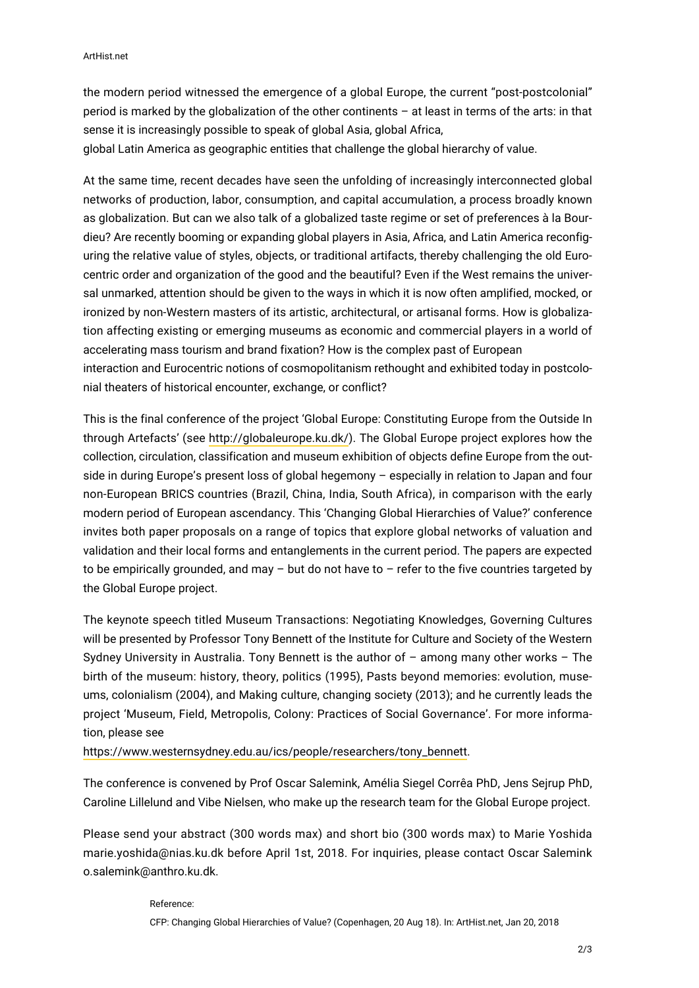the modern period witnessed the emergence of a global Europe, the current "post-postcolonial" period is marked by the globalization of the other continents – at least in terms of the arts: in that sense it is increasingly possible to speak of global Asia, global Africa, global Latin America as geographic entities that challenge the global hierarchy of value.

At the same time, recent decades have seen the unfolding of increasingly interconnected global networks of production, labor, consumption, and capital accumulation, a process broadly known as globalization. But can we also talk of a globalized taste regime or set of preferences à la Bourdieu? Are recently booming or expanding global players in Asia, Africa, and Latin America reconfiguring the relative value of styles, objects, or traditional artifacts, thereby challenging the old Eurocentric order and organization of the good and the beautiful? Even if the West remains the universal unmarked, attention should be given to the ways in which it is now often amplified, mocked, or ironized by non-Western masters of its artistic, architectural, or artisanal forms. How is globalization affecting existing or emerging museums as economic and commercial players in a world of accelerating mass tourism and brand fixation? How is the complex past of European interaction and Eurocentric notions of cosmopolitanism rethought and exhibited today in postcolonial theaters of historical encounter, exchange, or conflict?

This is the final conference of the project 'Global Europe: Constituting Europe from the Outside In through Artefacts' (see <http://globaleurope.ku.dk/>). The Global Europe project explores how the collection, circulation, classification and museum exhibition of objects define Europe from the outside in during Europe's present loss of global hegemony – especially in relation to Japan and four non-European BRICS countries (Brazil, China, India, South Africa), in comparison with the early modern period of European ascendancy. This 'Changing Global Hierarchies of Value?' conference invites both paper proposals on a range of topics that explore global networks of valuation and validation and their local forms and entanglements in the current period. The papers are expected to be empirically grounded, and may  $-$  but do not have to  $-$  refer to the five countries targeted by the Global Europe project.

The keynote speech titled Museum Transactions: Negotiating Knowledges, Governing Cultures will be presented by Professor Tony Bennett of the Institute for Culture and Society of the Western Sydney University in Australia. Tony Bennett is the author of – among many other works – The birth of the museum: history, theory, politics (1995), Pasts beyond memories: evolution, museums, colonialism (2004), and Making culture, changing society (2013); and he currently leads the project 'Museum, Field, Metropolis, Colony: Practices of Social Governance'. For more information, please see

[https://www.westernsydney.edu.au/ics/people/researchers/tony\\_bennett.](https://www.westernsydney.edu.au/ics/people/researchers/tony_bennett)

The conference is convened by Prof Oscar Salemink, Amélia Siegel Corrêa PhD, Jens Sejrup PhD, Caroline Lillelund and Vibe Nielsen, who make up the research team for the Global Europe project.

Please send your abstract (300 words max) and short bio (300 words max) to Marie Yoshida marie.yoshida@nias.ku.dk before April 1st, 2018. For inquiries, please contact Oscar Salemink o.salemink@anthro.ku.dk.